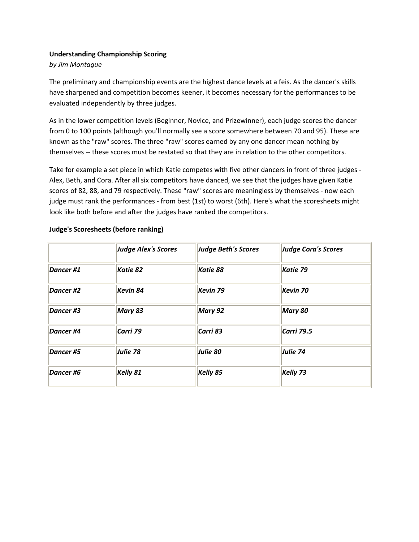## **Understanding Championship Scoring**

#### *by Jim Montague*

The preliminary and championship events are the highest dance levels at a feis. As the dancer's skills have sharpened and competition becomes keener, it becomes necessary for the performances to be evaluated independently by three judges.

As in the lower competition levels (Beginner, Novice, and Prizewinner), each judge scores the dancer from 0 to 100 points (although you'll normally see a score somewhere between 70 and 95). These are known as the "raw" scores. The three "raw" scores earned by any one dancer mean nothing by themselves ‐‐ these scores must be restated so that they are in relation to the other competitors.

Take for example a set piece in which Katie competes with five other dancers in front of three judges ‐ Alex, Beth, and Cora. After all six competitors have danced, we see that the judges have given Katie scores of 82, 88, and 79 respectively. These "raw" scores are meaningless by themselves ‐ now each judge must rank the performances ‐ from best (1st) to worst (6th). Here's what the scoresheets might look like both before and after the judges have ranked the competitors.

|                  | <b>Judge Alex's Scores</b> | <b>Judge Beth's Scores</b> | <b>Judge Cora's Scores</b> |  |  |
|------------------|----------------------------|----------------------------|----------------------------|--|--|
| Dancer #1        | Katie 82                   | Katie 88                   | Katie 79                   |  |  |
| Dancer #2        | Kevin 84                   | Kevin 79                   | Kevin 70                   |  |  |
| Dancer #3        | Mary 83                    | Mary 92                    | Mary 80                    |  |  |
| Dancer #4        | Carri 79                   | Carri 83                   | <b>Carri 79.5</b>          |  |  |
| Dancer #5        | Julie 78                   | Julie 80                   | Julie 74                   |  |  |
| <b>Dancer #6</b> | Kelly 81                   | Kelly 85                   | Kelly 73                   |  |  |

### **Judge's Scoresheets (before ranking)**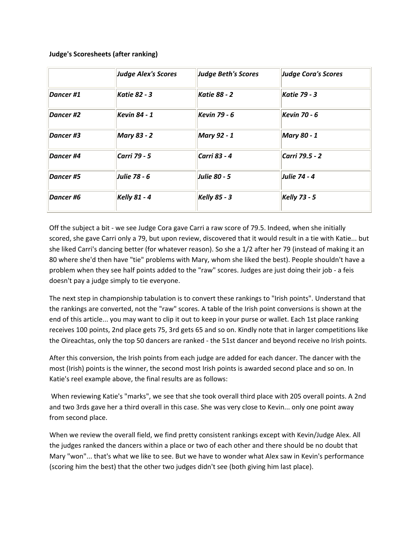### **Judge's Scoresheets (after ranking)**

|           | <b>Judge Alex's Scores</b> | <b>Judge Beth's Scores</b> | <b>Judge Cora's Scores</b> |  |  |
|-----------|----------------------------|----------------------------|----------------------------|--|--|
| Dancer #1 | <b>Katie 82 - 3</b>        | <b>Katie 88 - 2</b>        | <b>Katie 79 - 3</b>        |  |  |
| Dancer #2 | <b>Kevin 84 - 1</b>        | <b>Kevin 79 - 6</b>        | <b>Kevin 70 - 6</b>        |  |  |
| Dancer #3 | <b>Mary 83 - 2</b>         | <b>Mary 92 - 1</b>         | <b>Mary 80 - 1</b>         |  |  |
| Dancer #4 | Carri 79 - 5               | Carri 83 - 4               | Carri 79.5 - 2             |  |  |
| Dancer #5 | Julie 78 - 6               | <b>Julie 80 - 5</b>        | Julie 74 - 4               |  |  |
| Dancer #6 | <b>Kelly 81 - 4</b>        | <b>Kelly 85 - 3</b>        | <b>Kelly 73 - 5</b>        |  |  |

Off the subject a bit - we see Judge Cora gave Carri a raw score of 79.5. Indeed, when she initially scored, she gave Carri only a 79, but upon review, discovered that it would result in a tie with Katie... but she liked Carri's dancing better (for whatever reason). So she a 1/2 after her 79 (instead of making it an 80 where she'd then have "tie" problems with Mary, whom she liked the best). People shouldn't have a problem when they see half points added to the "raw" scores. Judges are just doing their job ‐ a feis doesn't pay a judge simply to tie everyone.

The next step in championship tabulation is to convert these rankings to "Irish points". Understand that the rankings are converted, not the "raw" scores. A table of the Irish point conversions is shown at the end of this article... you may want to clip it out to keep in your purse or wallet. Each 1st place ranking receives 100 points, 2nd place gets 75, 3rd gets 65 and so on. Kindly note that in larger competitions like the Oireachtas, only the top 50 dancers are ranked ‐ the 51st dancer and beyond receive no Irish points.

After this conversion, the Irish points from each judge are added for each dancer. The dancer with the most (Irish) points is the winner, the second most Irish points is awarded second place and so on. In Katie's reel example above, the final results are as follows:

When reviewing Katie's "marks", we see that she took overall third place with 205 overall points. A 2nd and two 3rds gave her a third overall in this case. She was very close to Kevin... only one point away from second place.

When we review the overall field, we find pretty consistent rankings except with Kevin/Judge Alex. All the judges ranked the dancers within a place or two of each other and there should be no doubt that Mary "won"... that's what we like to see. But we have to wonder what Alex saw in Kevin's performance (scoring him the best) that the other two judges didn't see (both giving him last place).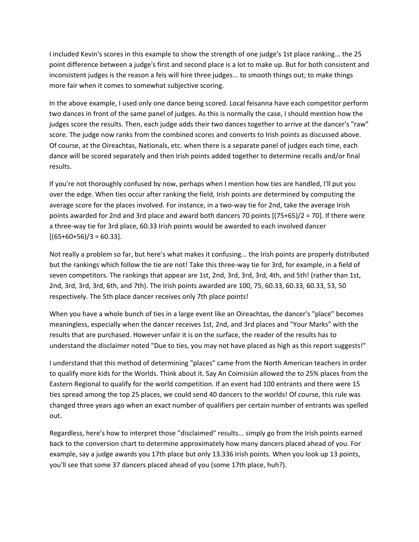I included Kevin's scores in this example to show the strength of one judge's 1st place ranking... the 25 point difference between a judge's first and second place is a lot to make up. But for both consistent and inconsistent judges is the reason a feis will hire three judges... to smooth things out; to make things more fair when it comes to somewhat subjective scoring.

In the above example, I used only one dance being scored. Local feisanna have each competitor perform two dances in front of the same panel of judges. As this is normally the case, I should mention how the judges score the results. Then, each judge adds their two dances together to arrive at the dancer's "raw" score. The judge now ranks from the combined scores and converts to Irish points as discussed above. Of course, at the Oireachtas, Nationals, etc. when there is a separate panel of judges each time, each dance will be scored separately and then Irish points added together to determine recalls and/or final results.

If you're not thoroughly confused by now, perhaps when I mention how ties are handled, I'll put you over the edge. When ties occur after ranking the field, Irish points are determined by computing the average score for the places involved. For instance, in a two-way tie for 2nd, take the average Irish points awarded for 2nd and 3rd place and award both dancers 70 points [(75+65)/2 = 70]. If there were a three‐way tie for 3rd place, 60.33 Irish points would be awarded to each involved dancer  $[(65+60+56)/3 = 60.33]$ .

Not really a problem so far, but here's what makes it confusing... the Irish points are properly distributed but the rankings which follow the tie are not! Take this three‐way tie for 3rd, for example, in a field of seven competitors. The rankings that appear are 1st, 2nd, 3rd, 3rd, 3rd, 4th, and 5th! (rather than 1st, 2nd, 3rd, 3rd, 3rd, 6th, and 7th). The Irish points awarded are 100, 75, 60.33, 60.33, 60.33, 53, 50 respectively. The 5th place dancer receives only 7th place points!

When you have a whole bunch of ties in a large event like an Oireachtas, the dancer's "place" becomes meaningless, especially when the dancer receives 1st, 2nd, and 3rd places and "Your Marks" with the results that are purchased. However unfair it is on the surface, the reader of the results has to understand the disclaimer noted "Due to ties, you may not have placed as high as this report suggests!"

I understand that this method of determining "places" came from the North American teachers in order to qualify more kids for the Worlds. Think about it. Say An Coimisiún allowed the to 25% places from the Eastern Regional to qualify for the world competition. If an event had 100 entrants and there were 15 ties spread among the top 25 places, we could send 40 dancers to the worlds! Of course, this rule was changed three years ago when an exact number of qualifiers per certain number of entrants was spelled out.

Regardless, here's how to interpret those "disclaimed" results... simply go from the Irish points earned back to the conversion chart to determine approximately how many dancers placed ahead of you. For example, say a judge awards you 17th place but only 13.336 Irish points. When you look up 13 points, you'll see that some 37 dancers placed ahead of you (some 17th place, huh?).